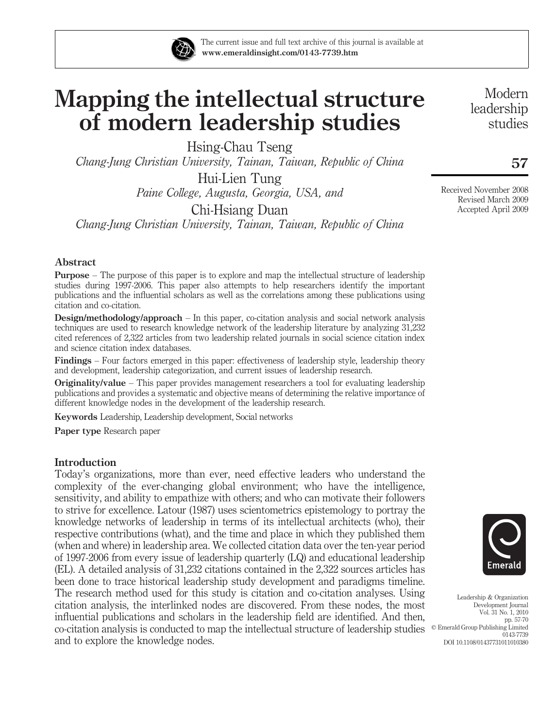

The current issue and full text archive of this journal is available at www.emeraldinsight.com/0143-7739.htm

# Mapping the intellectual structure of modern leadership studies

Hsing-Chau Tseng

Chang-Jung Christian University, Tainan, Taiwan, Republic of China

Hui-Lien Tung Paine College, Augusta, Georgia, USA, and

Chi-Hsiang Duan Chang-Jung Christian University, Tainan, Taiwan, Republic of China

## Abstract

Purpose – The purpose of this paper is to explore and map the intellectual structure of leadership studies during 1997-2006. This paper also attempts to help researchers identify the important publications and the influential scholars as well as the correlations among these publications using citation and co-citation.

Design/methodology/approach – In this paper, co-citation analysis and social network analysis techniques are used to research knowledge network of the leadership literature by analyzing 31,232 cited references of 2,322 articles from two leadership related journals in social science citation index and science citation index databases.

Findings – Four factors emerged in this paper: effectiveness of leadership style, leadership theory and development, leadership categorization, and current issues of leadership research.

Originality/value – This paper provides management researchers a tool for evaluating leadership publications and provides a systematic and objective means of determining the relative importance of different knowledge nodes in the development of the leadership research.

Keywords Leadership, Leadership development, Social networks

Paper type Research paper

## Introduction

Today's organizations, more than ever, need effective leaders who understand the complexity of the ever-changing global environment; who have the intelligence, sensitivity, and ability to empathize with others; and who can motivate their followers to strive for excellence. Latour (1987) uses scientometrics epistemology to portray the knowledge networks of leadership in terms of its intellectual architects (who), their respective contributions (what), and the time and place in which they published them (when and where) in leadership area. We collected citation data over the ten-year period of 1997-2006 from every issue of leadership quarterly (LQ) and educational leadership (EL). A detailed analysis of 31,232 citations contained in the 2,322 sources articles has been done to trace historical leadership study development and paradigms timeline. The research method used for this study is citation and co-citation analyses. Using citation analysis, the interlinked nodes are discovered. From these nodes, the most influential publications and scholars in the leadership field are identified. And then, co-citation analysis is conducted to map the intellectual structure of leadership studies  $\circ$  Emerald Group Publishing Limited and to explore the knowledge nodes.



57

Received November 2008 Revised March 2009 Accepted April 2009



Leadership & Organization Development Journal Vol. 31 No. 1, 2010 pp. 57-70 0143-7739 DOI 10.1108/01437731011010380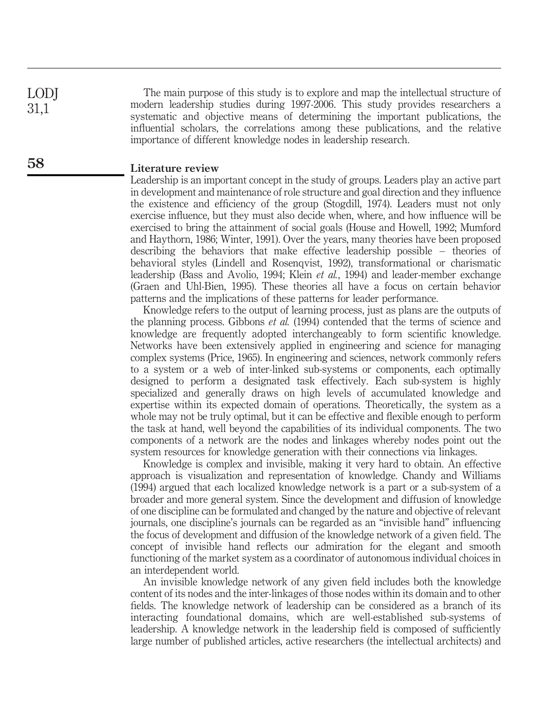The main purpose of this study is to explore and map the intellectual structure of modern leadership studies during 1997-2006. This study provides researchers a systematic and objective means of determining the important publications, the influential scholars, the correlations among these publications, and the relative importance of different knowledge nodes in leadership research.

### Literature review

Leadership is an important concept in the study of groups. Leaders play an active part in development and maintenance of role structure and goal direction and they influence the existence and efficiency of the group (Stogdill, 1974). Leaders must not only exercise influence, but they must also decide when, where, and how influence will be exercised to bring the attainment of social goals (House and Howell, 1992; Mumford and Haythorn, 1986; Winter, 1991). Over the years, many theories have been proposed describing the behaviors that make effective leadership possible – theories of behavioral styles (Lindell and Rosenqvist, 1992), transformational or charismatic leadership (Bass and Avolio, 1994; Klein et al., 1994) and leader-member exchange (Graen and Uhl-Bien, 1995). These theories all have a focus on certain behavior patterns and the implications of these patterns for leader performance.

Knowledge refers to the output of learning process, just as plans are the outputs of the planning process. Gibbons *et al.* (1994) contended that the terms of science and knowledge are frequently adopted interchangeably to form scientific knowledge. Networks have been extensively applied in engineering and science for managing complex systems (Price, 1965). In engineering and sciences, network commonly refers to a system or a web of inter-linked sub-systems or components, each optimally designed to perform a designated task effectively. Each sub-system is highly specialized and generally draws on high levels of accumulated knowledge and expertise within its expected domain of operations. Theoretically, the system as a whole may not be truly optimal, but it can be effective and flexible enough to perform the task at hand, well beyond the capabilities of its individual components. The two components of a network are the nodes and linkages whereby nodes point out the system resources for knowledge generation with their connections via linkages.

Knowledge is complex and invisible, making it very hard to obtain. An effective approach is visualization and representation of knowledge. Chandy and Williams (1994) argued that each localized knowledge network is a part or a sub-system of a broader and more general system. Since the development and diffusion of knowledge of one discipline can be formulated and changed by the nature and objective of relevant journals, one discipline's journals can be regarded as an "invisible hand" influencing the focus of development and diffusion of the knowledge network of a given field. The concept of invisible hand reflects our admiration for the elegant and smooth functioning of the market system as a coordinator of autonomous individual choices in an interdependent world.

An invisible knowledge network of any given field includes both the knowledge content of its nodes and the inter-linkages of those nodes within its domain and to other fields. The knowledge network of leadership can be considered as a branch of its interacting foundational domains, which are well-established sub-systems of leadership. A knowledge network in the leadership field is composed of sufficiently large number of published articles, active researchers (the intellectual architects) and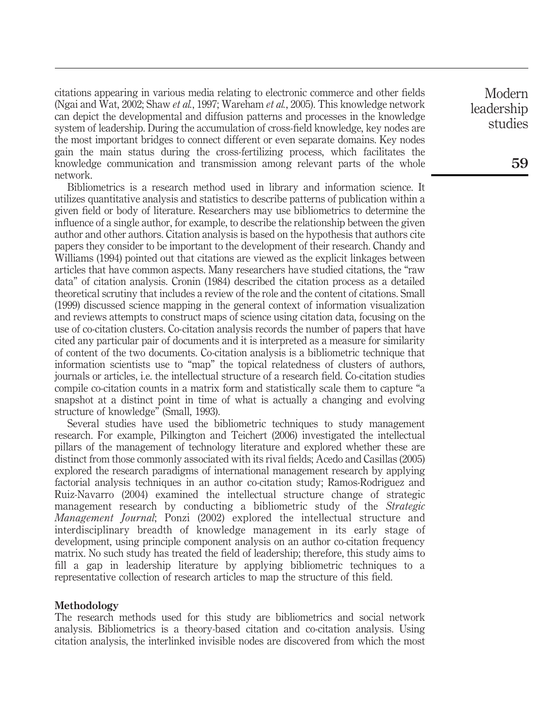citations appearing in various media relating to electronic commerce and other fields (Ngai and Wat, 2002; Shaw et al., 1997; Wareham et al., 2005). This knowledge network can depict the developmental and diffusion patterns and processes in the knowledge system of leadership. During the accumulation of cross-field knowledge, key nodes are the most important bridges to connect different or even separate domains. Key nodes gain the main status during the cross-fertilizing process, which facilitates the knowledge communication and transmission among relevant parts of the whole network.

Bibliometrics is a research method used in library and information science. It utilizes quantitative analysis and statistics to describe patterns of publication within a given field or body of literature. Researchers may use bibliometrics to determine the influence of a single author, for example, to describe the relationship between the given author and other authors. Citation analysis is based on the hypothesis that authors cite papers they consider to be important to the development of their research. Chandy and Williams (1994) pointed out that citations are viewed as the explicit linkages between articles that have common aspects. Many researchers have studied citations, the "raw data" of citation analysis. Cronin (1984) described the citation process as a detailed theoretical scrutiny that includes a review of the role and the content of citations. Small (1999) discussed science mapping in the general context of information visualization and reviews attempts to construct maps of science using citation data, focusing on the use of co-citation clusters. Co-citation analysis records the number of papers that have cited any particular pair of documents and it is interpreted as a measure for similarity of content of the two documents. Co-citation analysis is a bibliometric technique that information scientists use to "map" the topical relatedness of clusters of authors, journals or articles, i.e. the intellectual structure of a research field. Co-citation studies compile co-citation counts in a matrix form and statistically scale them to capture "a snapshot at a distinct point in time of what is actually a changing and evolving structure of knowledge" (Small, 1993).

Several studies have used the bibliometric techniques to study management research. For example, Pilkington and Teichert (2006) investigated the intellectual pillars of the management of technology literature and explored whether these are distinct from those commonly associated with its rival fields; Acedo and Casillas (2005) explored the research paradigms of international management research by applying factorial analysis techniques in an author co-citation study; Ramos-Rodriguez and Ruiz-Navarro (2004) examined the intellectual structure change of strategic management research by conducting a bibliometric study of the Strategic Management Journal; Ponzi (2002) explored the intellectual structure and interdisciplinary breadth of knowledge management in its early stage of development, using principle component analysis on an author co-citation frequency matrix. No such study has treated the field of leadership; therefore, this study aims to fill a gap in leadership literature by applying bibliometric techniques to a representative collection of research articles to map the structure of this field.

## Methodology

The research methods used for this study are bibliometrics and social network analysis. Bibliometrics is a theory-based citation and co-citation analysis. Using citation analysis, the interlinked invisible nodes are discovered from which the most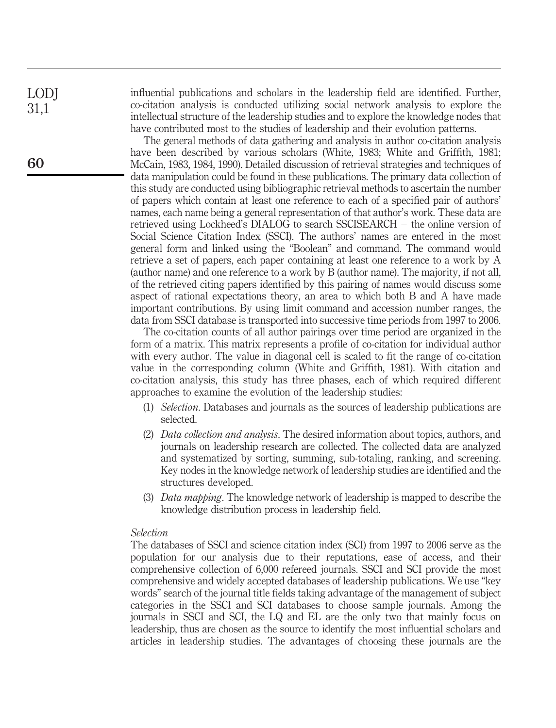influential publications and scholars in the leadership field are identified. Further, co-citation analysis is conducted utilizing social network analysis to explore the intellectual structure of the leadership studies and to explore the knowledge nodes that have contributed most to the studies of leadership and their evolution patterns.

The general methods of data gathering and analysis in author co-citation analysis have been described by various scholars (White, 1983; White and Griffith, 1981; McCain, 1983, 1984, 1990). Detailed discussion of retrieval strategies and techniques of data manipulation could be found in these publications. The primary data collection of this study are conducted using bibliographic retrieval methods to ascertain the number of papers which contain at least one reference to each of a specified pair of authors' names, each name being a general representation of that author's work. These data are retrieved using Lockheed's DIALOG to search SSCISEARCH – the online version of Social Science Citation Index (SSCI). The authors' names are entered in the most general form and linked using the "Boolean" and command. The command would retrieve a set of papers, each paper containing at least one reference to a work by A (author name) and one reference to a work by B (author name). The majority, if not all, of the retrieved citing papers identified by this pairing of names would discuss some aspect of rational expectations theory, an area to which both B and A have made important contributions. By using limit command and accession number ranges, the data from SSCI database is transported into successive time periods from 1997 to 2006.

The co-citation counts of all author pairings over time period are organized in the form of a matrix. This matrix represents a profile of co-citation for individual author with every author. The value in diagonal cell is scaled to fit the range of co-citation value in the corresponding column (White and Griffith, 1981). With citation and co-citation analysis, this study has three phases, each of which required different approaches to examine the evolution of the leadership studies:

- (1) Selection. Databases and journals as the sources of leadership publications are selected.
- (2) Data collection and analysis. The desired information about topics, authors, and journals on leadership research are collected. The collected data are analyzed and systematized by sorting, summing, sub-totaling, ranking, and screening. Key nodes in the knowledge network of leadership studies are identified and the structures developed.
- (3) Data mapping. The knowledge network of leadership is mapped to describe the knowledge distribution process in leadership field.

## Selection

The databases of SSCI and science citation index (SCI) from 1997 to 2006 serve as the population for our analysis due to their reputations, ease of access, and their comprehensive collection of 6,000 refereed journals. SSCI and SCI provide the most comprehensive and widely accepted databases of leadership publications. We use "key words" search of the journal title fields taking advantage of the management of subject categories in the SSCI and SCI databases to choose sample journals. Among the journals in SSCI and SCI, the LQ and EL are the only two that mainly focus on leadership, thus are chosen as the source to identify the most influential scholars and articles in leadership studies. The advantages of choosing these journals are the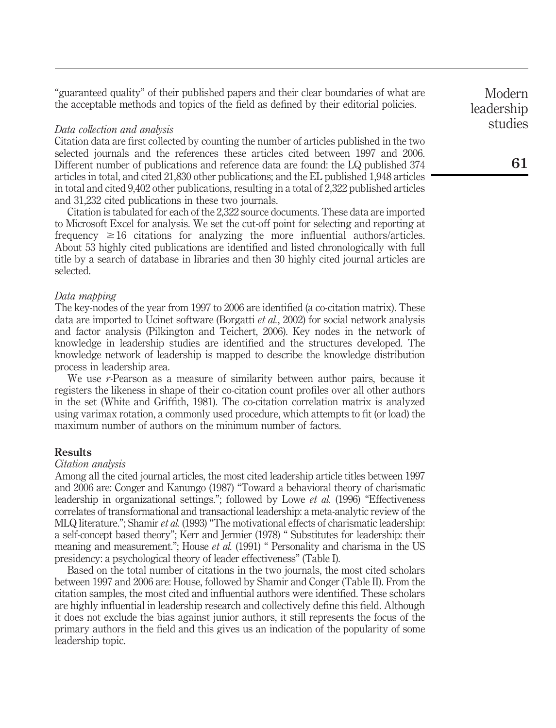"guaranteed quality" of their published papers and their clear boundaries of what are the acceptable methods and topics of the field as defined by their editorial policies.

## Data collection and analysis

Citation data are first collected by counting the number of articles published in the two selected journals and the references these articles cited between 1997 and 2006. Different number of publications and reference data are found: the LQ published 374 articles in total, and cited 21,830 other publications; and the EL published 1,948 articles in total and cited 9,402 other publications, resulting in a total of 2,322 published articles and 31,232 cited publications in these two journals.

Citation is tabulated for each of the 2,322 source documents. These data are imported to Microsoft Excel for analysis. We set the cut-off point for selecting and reporting at frequency  $\geq 16$  citations for analyzing the more influential authors/articles. About 53 highly cited publications are identified and listed chronologically with full title by a search of database in libraries and then 30 highly cited journal articles are selected.

## Data mapping

The key-nodes of the year from 1997 to 2006 are identified (a co-citation matrix). These data are imported to Ucinet software (Borgatti et al., 2002) for social network analysis and factor analysis (Pilkington and Teichert, 2006). Key nodes in the network of knowledge in leadership studies are identified and the structures developed. The knowledge network of leadership is mapped to describe the knowledge distribution process in leadership area.

We use r-Pearson as a measure of similarity between author pairs, because it registers the likeness in shape of their co-citation count profiles over all other authors in the set (White and Griffith, 1981). The co-citation correlation matrix is analyzed using varimax rotation, a commonly used procedure, which attempts to fit (or load) the maximum number of authors on the minimum number of factors.

# Results

### Citation analysis

Among all the cited journal articles, the most cited leadership article titles between 1997 and 2006 are: Conger and Kanungo (1987) "Toward a behavioral theory of charismatic leadership in organizational settings."; followed by Lowe et al. (1996) "Effectiveness correlates of transformational and transactional leadership: a meta-analytic review of the MLQ literature."; Shamir et al. (1993) "The motivational effects of charismatic leadership: a self-concept based theory"; Kerr and Jermier (1978) " Substitutes for leadership: their meaning and measurement."; House et al. (1991) " Personality and charisma in the US presidency: a psychological theory of leader effectiveness" (Table I).

Based on the total number of citations in the two journals, the most cited scholars between 1997 and 2006 are: House, followed by Shamir and Conger (Table II). From the citation samples, the most cited and influential authors were identified. These scholars are highly influential in leadership research and collectively define this field. Although it does not exclude the bias against junior authors, it still represents the focus of the primary authors in the field and this gives us an indication of the popularity of some leadership topic.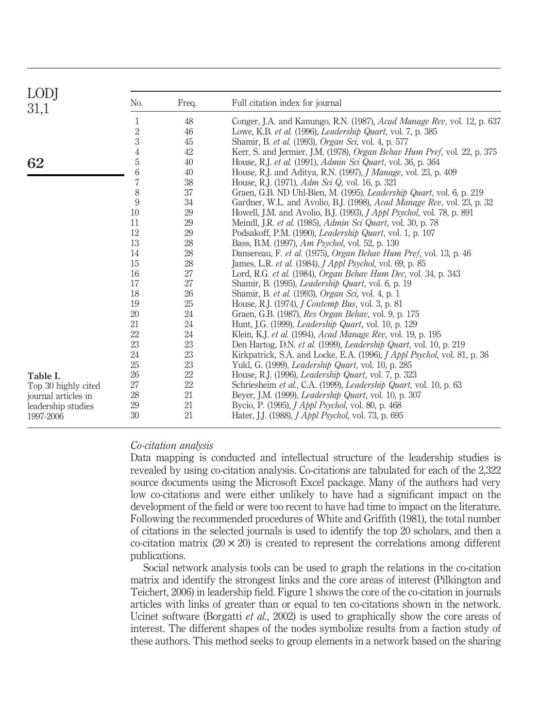| <b>LOD</b>          |                |        |                                                                                  |
|---------------------|----------------|--------|----------------------------------------------------------------------------------|
| 31,1                | N <sub>o</sub> | Freq.  | Full citation index for journal                                                  |
|                     | 1              | 48     | Conger, J.A. and Kanungo, R.N. (1987), <i>Acad Manage Rev</i> , vol. 12, p. 637  |
|                     | $\overline{2}$ | 46     | Lowe, K.B. <i>et al.</i> (1996), <i>Leadership Quart</i> , vol. 7, p. 385        |
|                     | 3              | 45     | Shamir, B. et al. (1993), Organ Sci, vol. 4, p. 577                              |
|                     | 4              | 42     | Kerr, S. and Jermier, J.M. (1978), Organ Behav Hum Pref, vol. 22, p. 375         |
| 62                  | 5              | 40     | House, R.J. et al. (1991), Admin Sci Quart, vol. 36, p. 364                      |
|                     | 6              | 40     | House, R.J. and Aditya, R.N. (1997), <i>J Manage</i> , vol. 23, p. 409           |
|                     | 7              | 38     | House, R.J. (1971), <i>Adm Sci Q</i> , vol. 16, p. 321                           |
|                     | 8              | 37     | Graen, G.B. ND Uhl-Bien, M. (1995), <i>Leadership Quart</i> , vol. 6, p. 219     |
|                     | 9              | 34     | Gardner, W.L. and Avolio, B.J. (1998), Acad Manage Rev, vol. 23, p. 32           |
|                     | 10             | 29     | Howell, J.M. and Avolio, B.J. (1993), <i>J Appl Psychol</i> , vol. 78, p. 891    |
|                     | 11             | 29     | Meindl, J.R. <i>et al.</i> (1985), <i>Admin Sci Quart</i> , vol. 30, p. 78       |
|                     | 12             | 29     | Podsakoff, P.M. (1990), <i>Leadership Quart</i> , vol. 1, p. 107                 |
|                     | 13             | 28     | Bass, B.M. (1997), Am Psychol, vol. 52, p. 130                                   |
|                     | 14             | 28     | Dansereau, F. et al. (1975), Organ Behav Hum Pref, vol. 13, p. 46                |
|                     | 15             | 28     | James, L.R. <i>et al.</i> (1984), <i>J Appl Psychol</i> , vol. 69, p. 85         |
|                     | 16             | 27     | Lord, R.G. et al. (1984), <i>Organ Behav Hum Dec</i> , vol. 34, p. 343           |
|                     | 17             | 27     | Shamir, B. (1995), <i>Leadership Quart</i> , vol. 6, p. 19                       |
|                     | 18             | 26     | Shamir, B. et al. (1993), Organ Sci, vol. 4, p. 1                                |
|                     | 19             | 25     | House, R.J. (1974), <i>J Contemp Bus</i> , vol. 3, p. 81                         |
|                     | 20             | 24     | Graen, G.B. (1987), Res Organ Behav, vol. 9, p. 175                              |
|                     | 21             | 24     | Hunt, J.G. (1999), <i>Leadership Quart</i> , vol. 10, p. 129                     |
|                     | 22             | 24     | Klein, K.J. <i>et al.</i> (1994), <i>Acad Manage Rev.</i> vol. 19, p. 195        |
|                     | 23             | 23     | Den Hartog, D.N. et al. (1999), Leadership Quart, vol. 10, p. 219                |
|                     | 24             | 23     | Kirkpatrick, S.A. and Locke, E.A. (1996), <i>J Appl Psychol</i> , vol. 81, p. 36 |
|                     | 25             | 23     | Yukl, G. (1999), <i>Leadership Quart</i> , vol. 10, p. 285                       |
| Table I.            | 26             | 22     | House, R.J. (1996), <i>Leadership Quart</i> , vol. 7, p. 323                     |
| Top 30 highly cited | 27             | $22\,$ | Schriesheim et al., C.A. (1999), <i>Leadership Quart</i> , vol. 10, p. 63        |
| journal articles in | 28             | 21     | Beyer, J.M. (1999), <i>Leadership Quart</i> , vol. 10, p. 307                    |
| leadership studies  | 29             | 21     | Bycio, P. (1995), <i>J Appl Psychol</i> , vol. 80, p. 468                        |
| 1997-2006           | 30             | 21     | Hater, J.J. (1988), <i>J Appl Psychol</i> , vol. 73, p. 695                      |

# Co-citation analysis

Data mapping is conducted and intellectual structure of the leadership studies is revealed by using co-citation analysis. Co-citations are tabulated for each of the 2,322 source documents using the Microsoft Excel package. Many of the authors had very low co-citations and were either unlikely to have had a significant impact on the development of the field or were too recent to have had time to impact on the literature. Following the recommended procedures of White and Griffith (1981), the total number of citations in the selected journals is used to identify the top 20 scholars, and then a co-citation matrix  $(20 \times 20)$  is created to represent the correlations among different publications.

Social network analysis tools can be used to graph the relations in the co-citation matrix and identify the strongest links and the core areas of interest (Pilkington and Teichert, 2006) in leadership field. Figure 1 shows the core of the co-citation in journals articles with links of greater than or equal to ten co-citations shown in the network. Ucinet software (Borgatti *et al.*, 2002) is used to graphically show the core areas of interest. The different shapes of the nodes symbolize results from a faction study of these authors. This method seeks to group elements in a network based on the sharing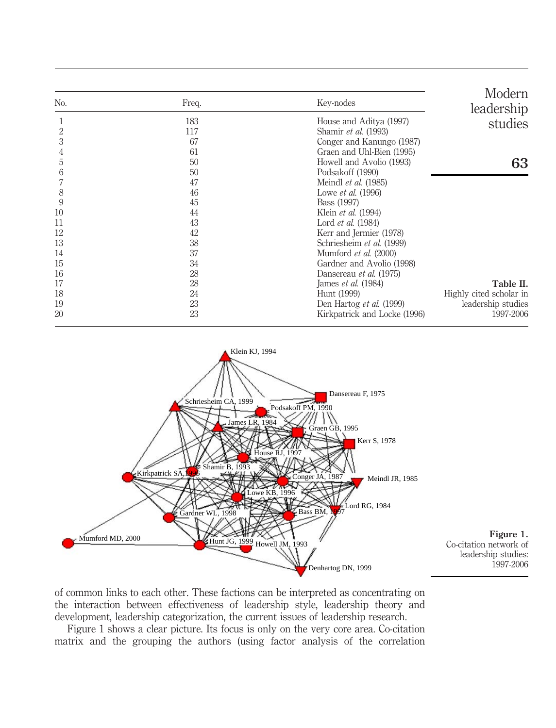| No.            | Freq. | Key-nodes                    | Modern<br>leadership    |
|----------------|-------|------------------------------|-------------------------|
| 1              | 183   | House and Aditya (1997)      | studies                 |
| $\overline{2}$ | 117   | Shamir et al. (1993)         |                         |
| 3              | 67    | Conger and Kanungo (1987)    |                         |
| 4              | 61    | Graen and Uhl-Bien (1995)    |                         |
| 5              | 50    | Howell and Avolio (1993)     | 63                      |
| 6              | 50    | Podsakoff (1990)             |                         |
|                | 47    | Meindl et al. (1985)         |                         |
| 8              | 46    | Lowe et al. (1996)           |                         |
| 9              | 45    | Bass (1997)                  |                         |
| 10             | 44    | Klein <i>et al.</i> (1994)   |                         |
| 11             | 43    | Lord et al. (1984)           |                         |
| 12             | 42    | Kerr and Jermier (1978)      |                         |
| 13             | 38    | Schriesheim et al. (1999)    |                         |
| 14             | 37    | Mumford et al. (2000)        |                         |
| 15             | 34    | Gardner and Avolio (1998)    |                         |
| 16             | 28    | Dansereau et al. (1975)      |                         |
| 17             | 28    | James et al. $(1984)$        | Table II.               |
| 18             | 24    | Hunt (1999)                  | Highly cited scholar in |
| 19             | 23    | Den Hartog et al. (1999)     | leadership studies      |
| 20             | 23    | Kirkpatrick and Locke (1996) | 1997-2006               |



of common links to each other. These factions can be interpreted as concentrating on the interaction between effectiveness of leadership style, leadership theory and development, leadership categorization, the current issues of leadership research.

Figure 1 shows a clear picture. Its focus is only on the very core area. Co-citation matrix and the grouping the authors (using factor analysis of the correlation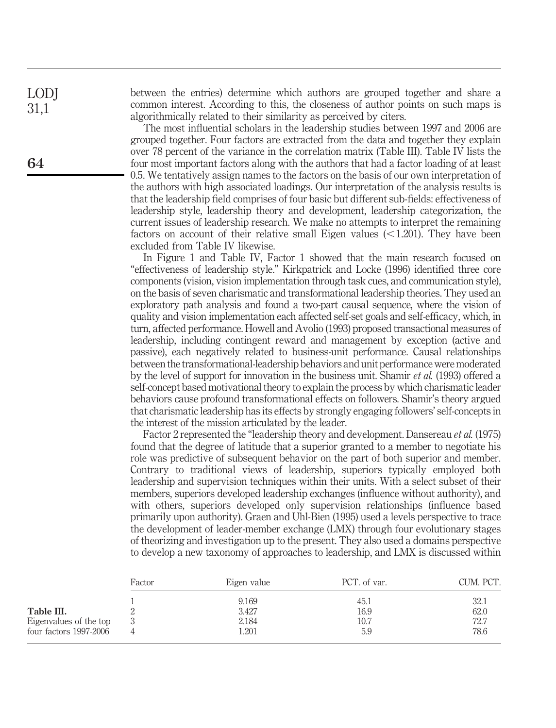between the entries) determine which authors are grouped together and share a common interest. According to this, the closeness of author points on such maps is algorithmically related to their similarity as perceived by citers.

The most influential scholars in the leadership studies between 1997 and 2006 are grouped together. Four factors are extracted from the data and together they explain over 78 percent of the variance in the correlation matrix (Table III). Table IV lists the four most important factors along with the authors that had a factor loading of at least 0.5. We tentatively assign names to the factors on the basis of our own interpretation of the authors with high associated loadings. Our interpretation of the analysis results is that the leadership field comprises of four basic but different sub-fields: effectiveness of leadership style, leadership theory and development, leadership categorization, the current issues of leadership research. We make no attempts to interpret the remaining factors on account of their relative small Eigen values  $\approx$  1.201). They have been excluded from Table IV likewise.

In Figure 1 and Table IV, Factor 1 showed that the main research focused on "effectiveness of leadership style." Kirkpatrick and Locke (1996) identified three core components (vision, vision implementation through task cues, and communication style), on the basis of seven charismatic and transformational leadership theories. They used an exploratory path analysis and found a two-part causal sequence, where the vision of quality and vision implementation each affected self-set goals and self-efficacy, which, in turn, affected performance. Howell and Avolio (1993) proposed transactional measures of leadership, including contingent reward and management by exception (active and passive), each negatively related to business-unit performance. Causal relationships between the transformational-leadership behaviors and unit performance were moderated by the level of support for innovation in the business unit. Shamir et al. (1993) offered a self-concept based motivational theory to explain the process by which charismatic leader behaviors cause profound transformational effects on followers. Shamir's theory argued that charismatic leadership has its effects by strongly engaging followers' self-concepts in the interest of the mission articulated by the leader.

Factor 2 represented the "leadership theory and development. Dansereau et al. (1975) found that the degree of latitude that a superior granted to a member to negotiate his role was predictive of subsequent behavior on the part of both superior and member. Contrary to traditional views of leadership, superiors typically employed both leadership and supervision techniques within their units. With a select subset of their members, superiors developed leadership exchanges (influence without authority), and with others, superiors developed only supervision relationships (influence based primarily upon authority). Graen and Uhl-Bien (1995) used a levels perspective to trace the development of leader-member exchange (LMX) through four evolutionary stages of theorizing and investigation up to the present. They also used a domains perspective to develop a new taxonomy of approaches to leadership, and LMX is discussed within

|                        | Factor | Eigen value | PCT. of var. | CUM. PCT. |
|------------------------|--------|-------------|--------------|-----------|
|                        |        | 9.169       | 45.1         | 32.1      |
| Table III.             |        | 3.427       | 16.9         | 62.0      |
| Eigenvalues of the top |        | 2.184       | 10.7         | 72.7      |
| four factors 1997-2006 |        | 1.201       | 5.9          | 78.6      |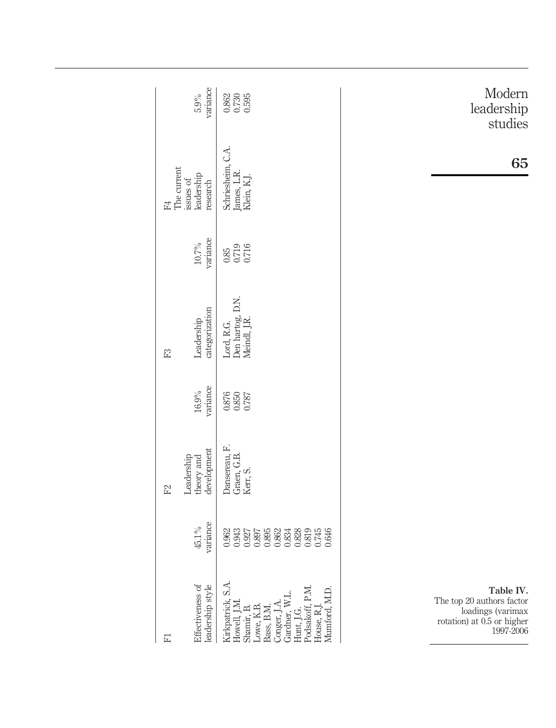|                         | variance<br>5.9%                        | $\begin{array}{c} 0.862 \\ 0.730 \\ 0.595 \end{array}$                                                                                                                       | Modern<br>leadership<br>studies                                                                        |
|-------------------------|-----------------------------------------|------------------------------------------------------------------------------------------------------------------------------------------------------------------------------|--------------------------------------------------------------------------------------------------------|
| The current<br>F4       | leadership<br>issues of<br>research     | Schriesheim, C.A.<br>James, L.R.<br>Klein, K.J.                                                                                                                              | 65                                                                                                     |
|                         | variance<br>$10.7\,\%$                  | $\begin{array}{c} 0.85 \\ 0.719 \\ 0.716 \end{array}$                                                                                                                        |                                                                                                        |
| F3                      | categorization<br>Leadership            | Den hartog, D.N.<br>Meindl, J.R.<br>Lord, R.G.                                                                                                                               |                                                                                                        |
|                         | variance<br>$16.9\%$                    | $\begin{array}{c} 0.876 \\ 0.880 \\ 0.880 \end{array}$                                                                                                                       |                                                                                                        |
| E2                      | development<br>Leadership<br>theory and | Dansereau, F.<br>Graen, G.B.<br>Kerr, S.                                                                                                                                     |                                                                                                        |
|                         | variance<br>$45.1\,\%$                  | $\begin{array}{c} 0.962 \\ 0.943 \\ 0.927 \\ 0.897 \\ 0.895 \\ 0.085 \\ \end{array}$<br>$\begin{array}{c} 0.862 \\ 0.834 \\ 0.828 \\ 0.819 \\ 0.745 \end{array}$<br>0.646    |                                                                                                        |
| $\overline{\mathrm{F}}$ | Effectiveness of<br>leadership style    | Kirkpatrick, S.A.<br>Howell, J.M.<br>Shamir, B.<br>Lowe, K.B.<br>Bass, B.M.<br>Conger, J.A.<br>Gardner, W.L.<br>Gardner, W.L.<br>Hunt, J.G.<br>Podsakoff, P.M.<br>Mumford, M | Table IV.<br>The top 20 authors factor<br>loadings (varimax<br>rotation) at 0.5 or higher<br>1997-2006 |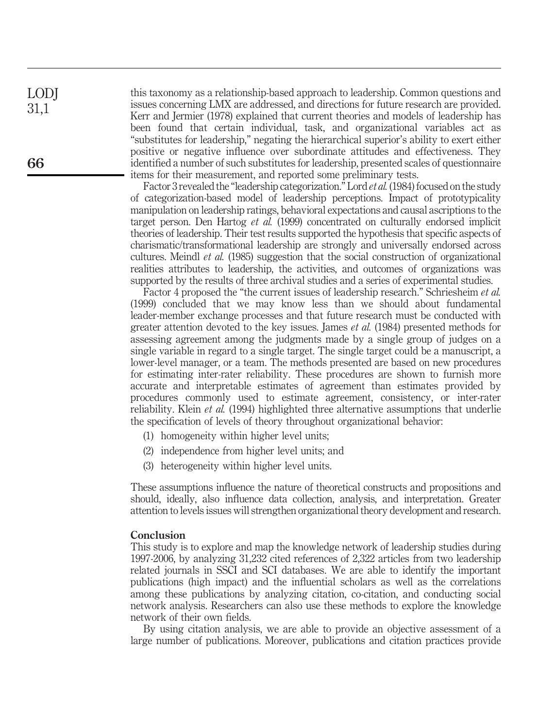this taxonomy as a relationship-based approach to leadership. Common questions and issues concerning LMX are addressed, and directions for future research are provided. Kerr and Jermier (1978) explained that current theories and models of leadership has been found that certain individual, task, and organizational variables act as "substitutes for leadership," negating the hierarchical superior's ability to exert either positive or negative influence over subordinate attitudes and effectiveness. They identified a number of such substitutes for leadership, presented scales of questionnaire items for their measurement, and reported some preliminary tests.

Factor 3 revealed the "leadership categorization." Lord *et al.* (1984) focused on the study of categorization-based model of leadership perceptions. Impact of prototypicality manipulation on leadership ratings, behavioral expectations and causal ascriptions to the target person. Den Hartog et al. (1999) concentrated on culturally endorsed implicit theories of leadership. Their test results supported the hypothesis that specific aspects of charismatic/transformational leadership are strongly and universally endorsed across cultures. Meindl et al. (1985) suggestion that the social construction of organizational realities attributes to leadership, the activities, and outcomes of organizations was supported by the results of three archival studies and a series of experimental studies.

Factor 4 proposed the "the current issues of leadership research." Schriesheim et al. (1999) concluded that we may know less than we should about fundamental leader-member exchange processes and that future research must be conducted with greater attention devoted to the key issues. James et al. (1984) presented methods for assessing agreement among the judgments made by a single group of judges on a single variable in regard to a single target. The single target could be a manuscript, a lower-level manager, or a team. The methods presented are based on new procedures for estimating inter-rater reliability. These procedures are shown to furnish more accurate and interpretable estimates of agreement than estimates provided by procedures commonly used to estimate agreement, consistency, or inter-rater reliability. Klein et al. (1994) highlighted three alternative assumptions that underlie the specification of levels of theory throughout organizational behavior:

- (1) homogeneity within higher level units;
- (2) independence from higher level units; and
- (3) heterogeneity within higher level units.

These assumptions influence the nature of theoretical constructs and propositions and should, ideally, also influence data collection, analysis, and interpretation. Greater attention to levels issues will strengthen organizational theory development and research.

## Conclusion

This study is to explore and map the knowledge network of leadership studies during 1997-2006, by analyzing 31,232 cited references of 2,322 articles from two leadership related journals in SSCI and SCI databases. We are able to identify the important publications (high impact) and the influential scholars as well as the correlations among these publications by analyzing citation, co-citation, and conducting social network analysis. Researchers can also use these methods to explore the knowledge network of their own fields.

By using citation analysis, we are able to provide an objective assessment of a large number of publications. Moreover, publications and citation practices provide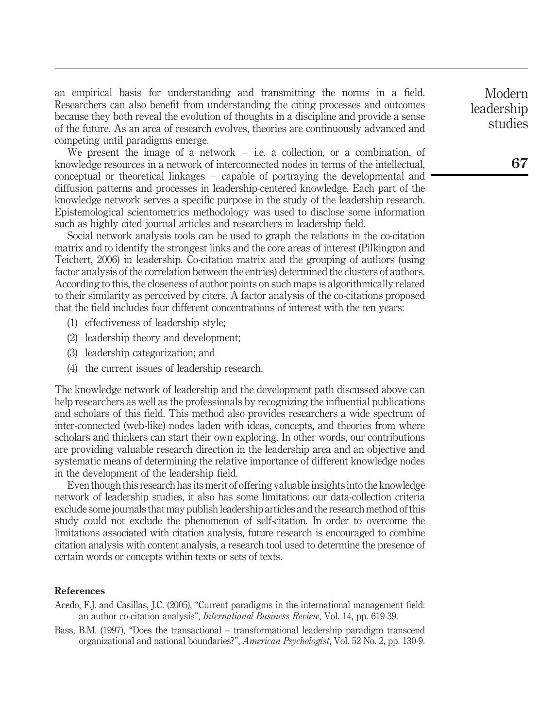an empirical basis for understanding and transmitting the norms in a field. Researchers can also benefit from understanding the citing processes and outcomes because they both reveal the evolution of thoughts in a discipline and provide a sense of the future. As an area of research evolves, theories are continuously advanced and competing until paradigms emerge.

We present the image of a network  $-$  i.e. a collection, or a combination, of knowledge resources in a network of interconnected nodes in terms of the intellectual, conceptual or theoretical linkages – capable of portraying the developmental and diffusion patterns and processes in leadership-centered knowledge. Each part of the knowledge network serves a specific purpose in the study of the leadership research. Epistemological scientometrics methodology was used to disclose some information such as highly cited journal articles and researchers in leadership field.

Social network analysis tools can be used to graph the relations in the co-citation matrix and to identify the strongest links and the core areas of interest (Pilkington and Teichert, 2006) in leadership. Co-citation matrix and the grouping of authors (using factor analysis of the correlation between the entries) determined the clusters of authors. According to this, the closeness of author points on such maps is algorithmically related to their similarity as perceived by citers. A factor analysis of the co-citations proposed that the field includes four different concentrations of interest with the ten years:

- (1) effectiveness of leadership style;
- (2) leadership theory and development;
- (3) leadership categorization; and
- (4) the current issues of leadership research.

The knowledge network of leadership and the development path discussed above can help researchers as well as the professionals by recognizing the influential publications and scholars of this field. This method also provides researchers a wide spectrum of inter-connected (web-like) nodes laden with ideas, concepts, and theories from where scholars and thinkers can start their own exploring. In other words, our contributions are providing valuable research direction in the leadership area and an objective and systematic means of determining the relative importance of different knowledge nodes in the development of the leadership field.

Even though this research has its merit of offering valuable insights into the knowledge network of leadership studies, it also has some limitations: our data-collection criteria exclude some journals that may publish leadership articles and the research method of this study could not exclude the phenomenon of self-citation. In order to overcome the limitations associated with citation analysis, future research is encouraged to combine citation analysis with content analysis, a research tool used to determine the presence of certain words or concepts within texts or sets of texts.

### References

- Acedo, F.J. and Casillas, J.C. (2005), "Current paradigms in the international management field: an author co-citation analysis", International Business Review, Vol. 14, pp. 619-39.
- Bass, B.M. (1997), "Does the transactional transformational leadership paradigm transcend organizational and national boundaries?", American Psychologist, Vol. 52 No. 2, pp. 130-9.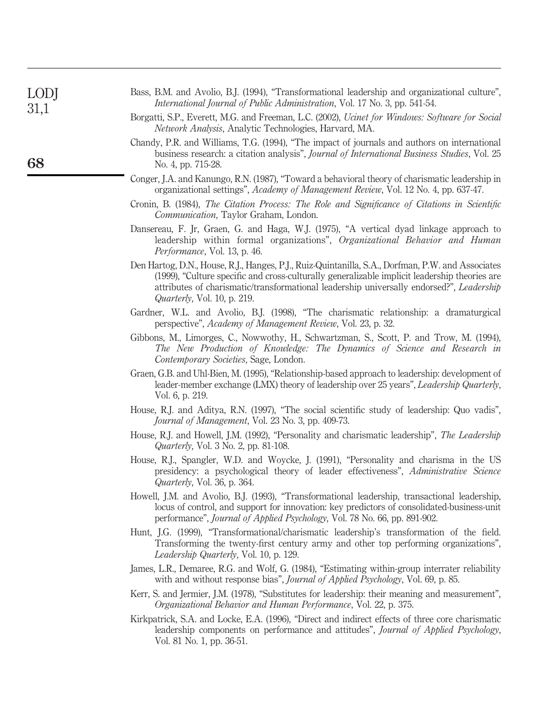| <b>LOD</b> | Bass, B.M. and Avolio, B.J. (1994), "Transformational leadership and organizational culture",<br>International Journal of Public Administration, Vol. 17 No. 3, pp. 541-54.                                                                                                                                                   |  |  |  |  |  |  |  |
|------------|-------------------------------------------------------------------------------------------------------------------------------------------------------------------------------------------------------------------------------------------------------------------------------------------------------------------------------|--|--|--|--|--|--|--|
| 31,1       | Borgatti, S.P., Everett, M.G. and Freeman, L.C. (2002), Ucinet for Windows: Software for Social<br><i>Network Analysis, Analytic Technologies, Harvard, MA.</i>                                                                                                                                                               |  |  |  |  |  |  |  |
| 68         | Chandy, P.R. and Williams, T.G. (1994), "The impact of journals and authors on international<br>business research: a citation analysis", Journal of International Business Studies, Vol. 25<br>No. 4, pp. 715-28.                                                                                                             |  |  |  |  |  |  |  |
|            | Conger, J.A. and Kanungo, R.N. (1987), "Toward a behavioral theory of charismatic leadership in<br>organizational settings", Academy of Management Review, Vol. 12 No. 4, pp. 637-47.                                                                                                                                         |  |  |  |  |  |  |  |
|            | Cronin, B. (1984), The Citation Process: The Role and Significance of Citations in Scientific<br>Communication, Taylor Graham, London.                                                                                                                                                                                        |  |  |  |  |  |  |  |
|            | Dansereau, F. Jr, Graen, G. and Haga, W.J. (1975), "A vertical dyad linkage approach to<br>leadership within formal organizations", Organizational Behavior and Human<br><i>Performance</i> , Vol. 13, p. 46.                                                                                                                 |  |  |  |  |  |  |  |
|            | Den Hartog, D.N., House, R.J., Hanges, P.J., Ruiz-Quintanilla, S.A., Dorfman, P.W. and Associates<br>(1999), "Culture specific and cross-culturally generalizable implicit leadership theories are<br>attributes of charismatic/transformational leadership universally endorsed?", Leadership<br>Quarterly, Vol. 10, p. 219. |  |  |  |  |  |  |  |
|            | Gardner, W.L. and Avolio, B.J. (1998), "The charismatic relationship: a dramaturgical<br>perspective", <i>Academy of Management Review</i> , Vol. 23, p. 32.                                                                                                                                                                  |  |  |  |  |  |  |  |
|            | Gibbons, M., Limorges, C., Nowwothy, H., Schwartzman, S., Scott, P. and Trow, M. (1994),<br>The New Production of Knowledge: The Dynamics of Science and Research in<br>Contemporary Societies, Sage, London.                                                                                                                 |  |  |  |  |  |  |  |
|            | Graen, G.B. and Uhl-Bien, M. (1995), "Relationship-based approach to leadership: development of<br>leader-member exchange (LMX) theory of leadership over 25 years", <i>Leadership Quarterly</i> ,<br>Vol. 6, p. 219.                                                                                                         |  |  |  |  |  |  |  |
|            | House, R.J. and Aditya, R.N. (1997), "The social scientific study of leadership: Quo vadis",<br>Journal of Management, Vol. 23 No. 3, pp. 409-73.                                                                                                                                                                             |  |  |  |  |  |  |  |
|            | House, R.J. and Howell, J.M. (1992), "Personality and charismatic leadership", The Leadership<br>Quarterly, Vol. 3 No. 2, pp. 81-108.                                                                                                                                                                                         |  |  |  |  |  |  |  |
|            | House, R.J., Spangler, W.D. and Woycke, J. (1991), "Personality and charisma in the US<br>presidency: a psychological theory of leader effectiveness", Administrative Science<br><i>Quarterly</i> , Vol. 36, p. 364.                                                                                                          |  |  |  |  |  |  |  |
|            | Howell, J.M. and Avolio, B.J. (1993), "Transformational leadership, transactional leadership,<br>locus of control, and support for innovation: key predictors of consolidated-business-unit<br>performance", <i>Journal of Applied Psychology</i> , Vol. 78 No. 66, pp. 891-902.                                              |  |  |  |  |  |  |  |
|            | Hunt, J.G. (1999), "Transformational/charismatic leadership's transformation of the field.<br>Transforming the twenty-first century army and other top performing organizations",<br><i>Leadership Quarterly, Vol. 10, p. 129.</i>                                                                                            |  |  |  |  |  |  |  |
|            | James, L.R., Demaree, R.G. and Wolf, G. (1984), "Estimating within-group interrater reliability<br>with and without response bias", <i>Journal of Applied Psychology</i> , Vol. 69, p. 85.                                                                                                                                    |  |  |  |  |  |  |  |
|            | Kerr, S. and Jermier, J.M. (1978), "Substitutes for leadership: their meaning and measurement",<br>Organizational Behavior and Human Performance, Vol. 22, p. 375.                                                                                                                                                            |  |  |  |  |  |  |  |
|            | Kirkpatrick, S.A. and Locke, E.A. (1996), "Direct and indirect effects of three core charismatic<br>leadership components on performance and attitudes", <i>Journal of Applied Psychology</i> ,<br>Vol. 81 No. 1, pp. 36-51.                                                                                                  |  |  |  |  |  |  |  |
|            |                                                                                                                                                                                                                                                                                                                               |  |  |  |  |  |  |  |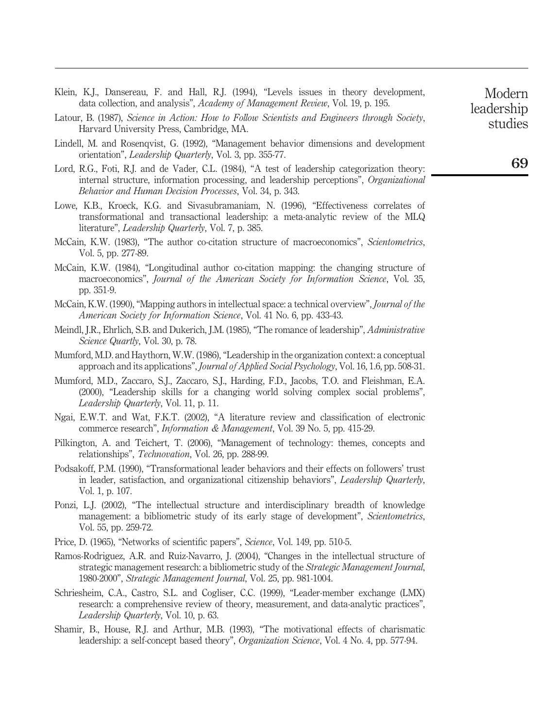|  |                                                                                |  |  |  |  | Klein, K.J., Dansereau, F. and Hall, R.J. (1994), "Levels issues in theory development, |
|--|--------------------------------------------------------------------------------|--|--|--|--|-----------------------------------------------------------------------------------------|
|  | data collection, and analysis", Academy of Management Review, Vol. 19, p. 195. |  |  |  |  |                                                                                         |

- Latour, B. (1987), Science in Action: How to Follow Scientists and Engineers through Society, Harvard University Press, Cambridge, MA.
- Lindell, M. and Rosenqvist, G. (1992), "Management behavior dimensions and development orientation", Leadership Quarterly, Vol. 3, pp. 355-77.
- Lord, R.G., Foti, R.J. and de Vader, C.L. (1984), "A test of leadership categorization theory: internal structure, information processing, and leadership perceptions", Organizational Behavior and Human Decision Processes, Vol. 34, p. 343.
- Lowe, K.B., Kroeck, K.G. and Sivasubramaniam, N. (1996), "Effectiveness correlates of transformational and transactional leadership: a meta-analytic review of the MLQ literature", Leadership Quarterly, Vol. 7, p. 385.
- McCain, K.W. (1983), "The author co-citation structure of macroeconomics", Scientometrics, Vol. 5, pp. 277-89.
- McCain, K.W. (1984), "Longitudinal author co-citation mapping: the changing structure of macroeconomics", *Journal of the American Society for Information Science*, Vol. 35, pp. 351-9.
- McCain, K.W. (1990), "Mapping authors in intellectual space: a technical overview", Journal of the American Society for Information Science, Vol. 41 No. 6, pp. 433-43.
- Meindl, J.R., Ehrlich, S.B. and Dukerich, J.M. (1985), "The romance of leadership", Administrative Science Quartly, Vol. 30, p. 78.
- Mumford, M.D. and Haythorn, W.W. (1986), "Leadership in the organization context: a conceptual approach and its applications", Journal of Applied Social Psychology, Vol. 16, 1.6, pp. 508-31.
- Mumford, M.D., Zaccaro, S.J., Zaccaro, S.J., Harding, F.D., Jacobs, T.O. and Fleishman, E.A. (2000), "Leadership skills for a changing world solving complex social problems", Leadership Quarterly, Vol. 11, p. 11.
- Ngai, E.W.T. and Wat, F.K.T. (2002), "A literature review and classification of electronic commerce research", Information & Management, Vol. 39 No. 5, pp. 415-29.
- Pilkington, A. and Teichert, T. (2006), "Management of technology: themes, concepts and relationships", Technovation, Vol. 26, pp. 288-99.
- Podsakoff, P.M. (1990), "Transformational leader behaviors and their effects on followers' trust in leader, satisfaction, and organizational citizenship behaviors", Leadership Quarterly, Vol. 1, p. 107.
- Ponzi, L.J. (2002), "The intellectual structure and interdisciplinary breadth of knowledge management: a bibliometric study of its early stage of development", Scientometrics, Vol. 55, pp. 259-72.
- Price, D. (1965), "Networks of scientific papers", Science, Vol. 149, pp. 510-5.
- Ramos-Rodriguez, A.R. and Ruiz-Navarro, J. (2004), "Changes in the intellectual structure of strategic management research: a bibliometric study of the Strategic Management Journal, 1980-2000", Strategic Management Journal, Vol. 25, pp. 981-1004.
- Schriesheim, C.A., Castro, S.L. and Cogliser, C.C. (1999), "Leader-member exchange (LMX) research: a comprehensive review of theory, measurement, and data-analytic practices", Leadership Quarterly, Vol. 10, p. 63.
- Shamir, B., House, R.J. and Arthur, M.B. (1993), "The motivational effects of charismatic leadership: a self-concept based theory", Organization Science, Vol. 4 No. 4, pp. 577-94.

69